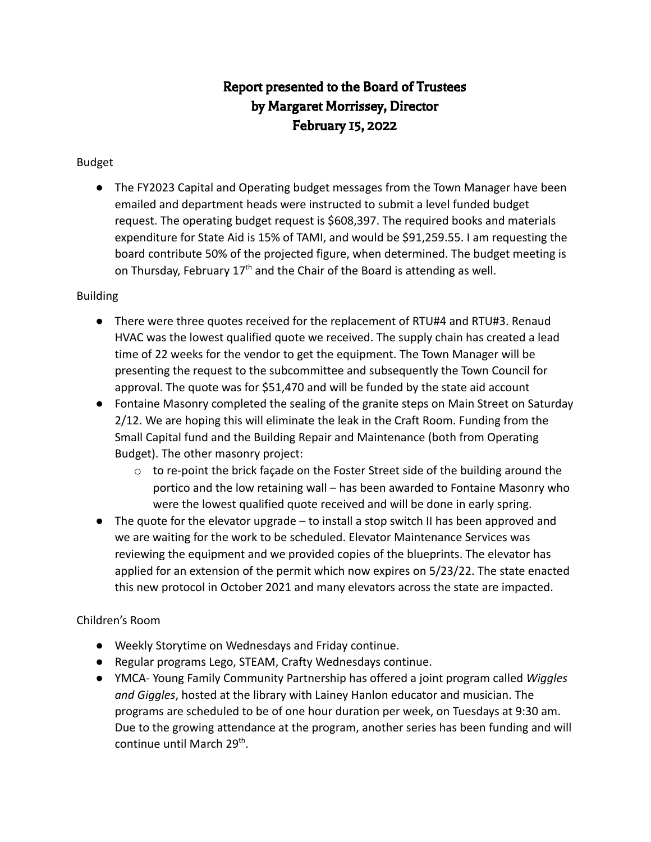# Report presented to the Board of Trustees by Margaret Morrissey, Director February 15, 2022

### Budget

● The FY2023 Capital and Operating budget messages from the Town Manager have been emailed and department heads were instructed to submit a level funded budget request. The operating budget request is \$608,397. The required books and materials expenditure for State Aid is 15% of TAMI, and would be \$91,259.55. I am requesting the board contribute 50% of the projected figure, when determined. The budget meeting is on Thursday, February  $17<sup>th</sup>$  and the Chair of the Board is attending as well.

#### Building

- There were three quotes received for the replacement of RTU#4 and RTU#3. Renaud HVAC was the lowest qualified quote we received. The supply chain has created a lead time of 22 weeks for the vendor to get the equipment. The Town Manager will be presenting the request to the subcommittee and subsequently the Town Council for approval. The quote was for \$51,470 and will be funded by the state aid account
- Fontaine Masonry completed the sealing of the granite steps on Main Street on Saturday 2/12. We are hoping this will eliminate the leak in the Craft Room. Funding from the Small Capital fund and the Building Repair and Maintenance (both from Operating Budget). The other masonry project:
	- $\circ$  to re-point the brick façade on the Foster Street side of the building around the portico and the low retaining wall – has been awarded to Fontaine Masonry who were the lowest qualified quote received and will be done in early spring.
- The quote for the elevator upgrade to install a stop switch II has been approved and we are waiting for the work to be scheduled. Elevator Maintenance Services was reviewing the equipment and we provided copies of the blueprints. The elevator has applied for an extension of the permit which now expires on 5/23/22. The state enacted this new protocol in October 2021 and many elevators across the state are impacted.

### Children's Room

- Weekly Storytime on Wednesdays and Friday continue.
- Regular programs Lego, STEAM, Crafty Wednesdays continue.
- YMCA- Young Family Community Partnership has offered a joint program called *Wiggles and Giggles*, hosted at the library with Lainey Hanlon educator and musician. The programs are scheduled to be of one hour duration per week, on Tuesdays at 9:30 am. Due to the growing attendance at the program, another series has been funding and will continue until March 29<sup>th</sup>.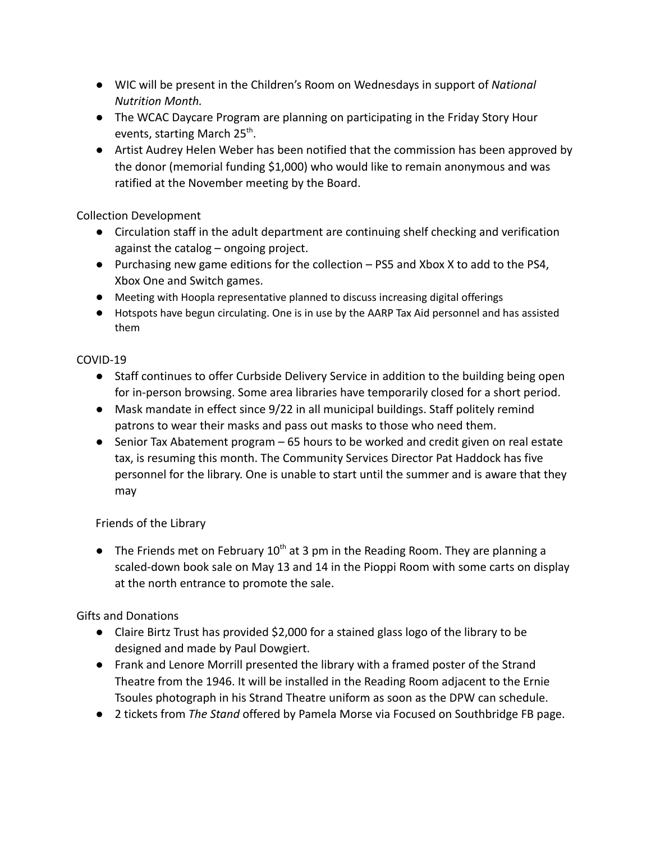- *●* WIC will be present in the Children's Room on Wednesdays in support of *National Nutrition Month.*
- The WCAC Daycare Program are planning on participating in the Friday Story Hour events, starting March 25<sup>th</sup>.
- Artist Audrey Helen Weber has been notified that the commission has been approved by the donor (memorial funding \$1,000) who would like to remain anonymous and was ratified at the November meeting by the Board.

Collection Development

- Circulation staff in the adult department are continuing shelf checking and verification against the catalog – ongoing project.
- Purchasing new game editions for the collection PS5 and Xbox X to add to the PS4, Xbox One and Switch games.
- Meeting with Hoopla representative planned to discuss increasing digital offerings
- Hotspots have begun circulating. One is in use by the AARP Tax Aid personnel and has assisted them

## COVID-19

- Staff continues to offer Curbside Delivery Service in addition to the building being open for in-person browsing. Some area libraries have temporarily closed for a short period.
- Mask mandate in effect since 9/22 in all municipal buildings. Staff politely remind patrons to wear their masks and pass out masks to those who need them.
- Senior Tax Abatement program 65 hours to be worked and credit given on real estate tax, is resuming this month. The Community Services Director Pat Haddock has five personnel for the library. One is unable to start until the summer and is aware that they may

Friends of the Library

• The Friends met on February  $10^{th}$  at 3 pm in the Reading Room. They are planning a scaled-down book sale on May 13 and 14 in the Pioppi Room with some carts on display at the north entrance to promote the sale.

Gifts and Donations

- Claire Birtz Trust has provided \$2,000 for a stained glass logo of the library to be designed and made by Paul Dowgiert.
- Frank and Lenore Morrill presented the library with a framed poster of the Strand Theatre from the 1946. It will be installed in the Reading Room adjacent to the Ernie Tsoules photograph in his Strand Theatre uniform as soon as the DPW can schedule.
- 2 tickets from *The Stand* offered by Pamela Morse via Focused on Southbridge FB page.